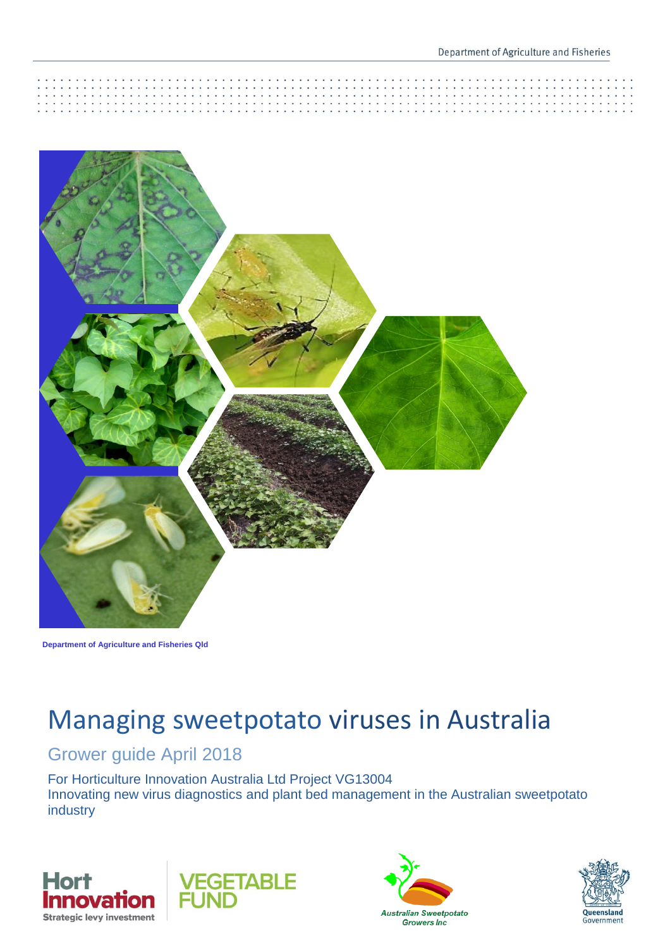

**Department of Agriculture and Fisheries Qld**

# Managing sweetpotato viruses in Australia

### Grower guide April 2018

For Horticulture Innovation Australia Ltd Project VG13004 Innovating new virus diagnostics and plant bed management in the Australian sweetpotato industry







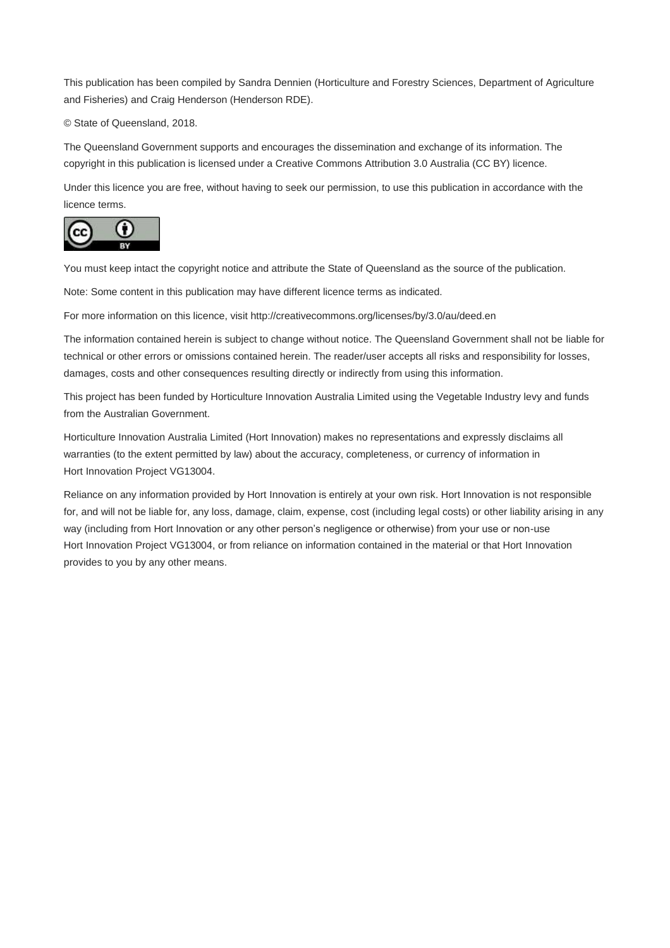This publication has been compiled by Sandra Dennien (Horticulture and Forestry Sciences, Department of Agriculture and Fisheries) and Craig Henderson (Henderson RDE).

© State of Queensland, 2018.

The Queensland Government supports and encourages the dissemination and exchange of its information. The copyright in this publication is licensed under a Creative Commons Attribution 3.0 Australia (CC BY) licence.

Under this licence you are free, without having to seek our permission, to use this publication in accordance with the licence terms.



You must keep intact the copyright notice and attribute the State of Queensland as the source of the publication.

Note: Some content in this publication may have different licence terms as indicated.

For more information on this licence, visit http://creativecommons.org/licenses/by/3.0/au/deed.en

The information contained herein is subject to change without notice. The Queensland Government shall not be liable for technical or other errors or omissions contained herein. The reader/user accepts all risks and responsibility for losses, damages, costs and other consequences resulting directly or indirectly from using this information.

This project has been funded by Horticulture Innovation Australia Limited using the Vegetable Industry levy and funds from the Australian Government.

Horticulture Innovation Australia Limited (Hort Innovation) makes no representations and expressly disclaims all warranties (to the extent permitted by law) about the accuracy, completeness, or currency of information in Hort Innovation Project VG13004.

Reliance on any information provided by Hort Innovation is entirely at your own risk. Hort Innovation is not responsible for, and will not be liable for, any loss, damage, claim, expense, cost (including legal costs) or other liability arising in any way (including from Hort Innovation or any other person's negligence or otherwise) from your use or non-use Hort Innovation Project VG13004, or from reliance on information contained in the material or that Hort Innovation provides to you by any other means.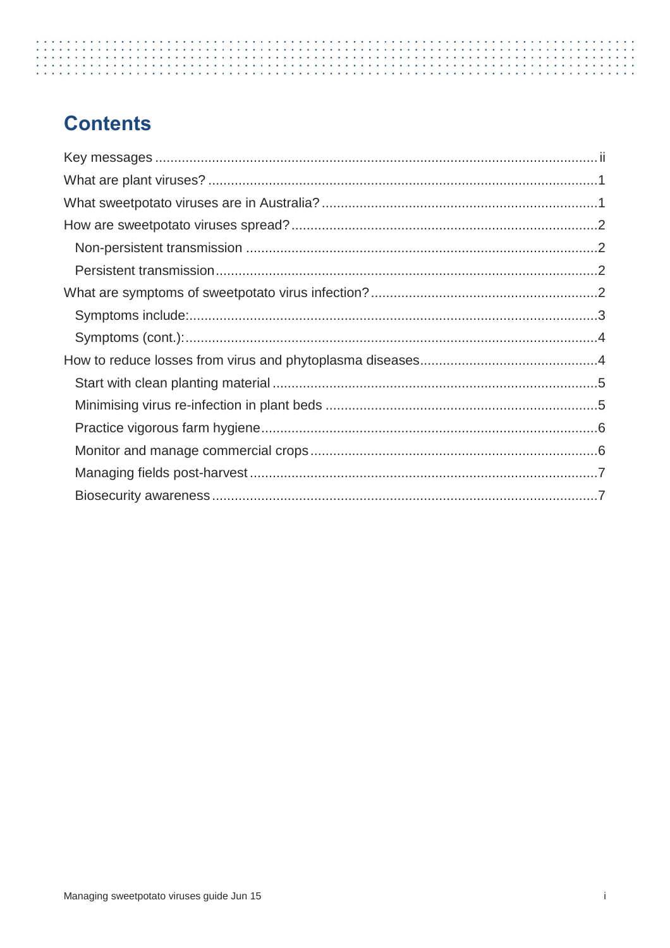# **Contents**

<span id="page-2-0"></span>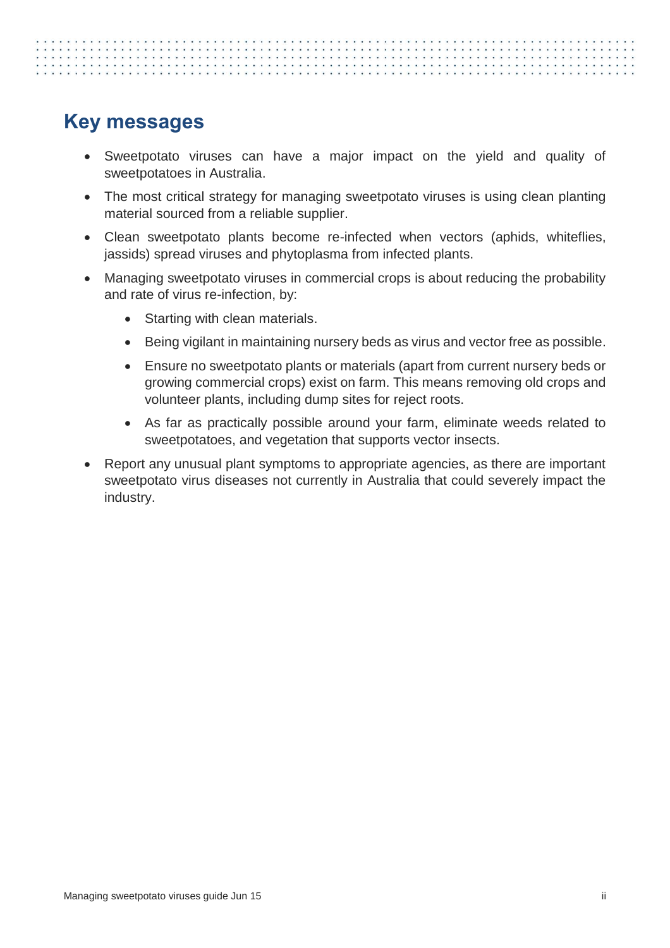## **Key messages**

- Sweetpotato viruses can have a major impact on the yield and quality of sweetpotatoes in Australia.
- The most critical strategy for managing sweetpotato viruses is using clean planting material sourced from a reliable supplier.
- Clean sweetpotato plants become re-infected when vectors (aphids, whiteflies, jassids) spread viruses and phytoplasma from infected plants.
- Managing sweetpotato viruses in commercial crops is about reducing the probability and rate of virus re-infection, by:
	- Starting with clean materials.
	- Being vigilant in maintaining nursery beds as virus and vector free as possible.
	- Ensure no sweetpotato plants or materials (apart from current nursery beds or growing commercial crops) exist on farm. This means removing old crops and volunteer plants, including dump sites for reject roots.
	- As far as practically possible around your farm, eliminate weeds related to sweetpotatoes, and vegetation that supports vector insects.
- Report any unusual plant symptoms to appropriate agencies, as there are important sweetpotato virus diseases not currently in Australia that could severely impact the industry.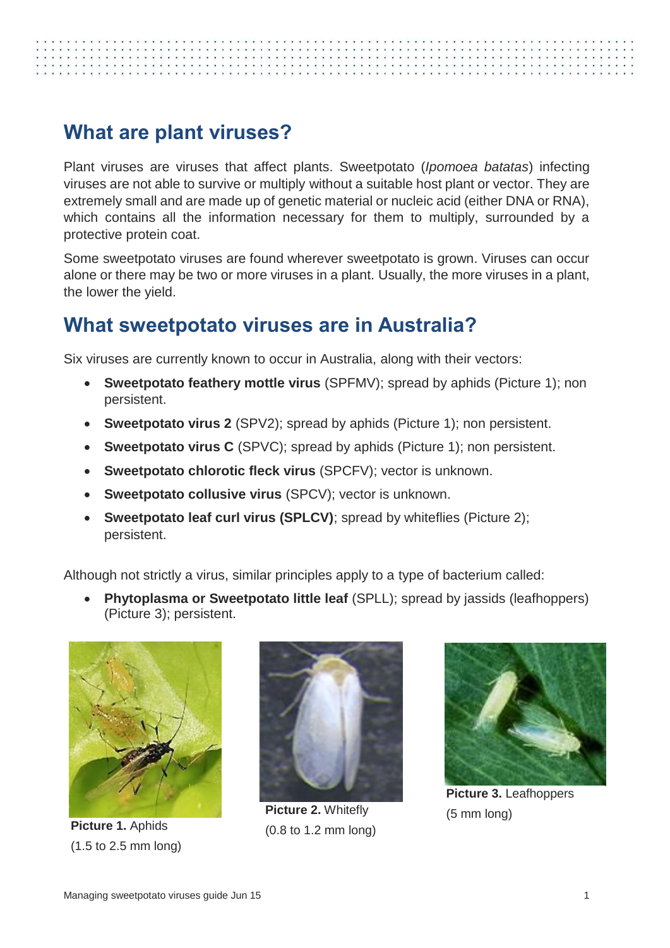# <span id="page-4-0"></span>**What are plant viruses?**

Plant viruses are viruses that affect plants. Sweetpotato (*Ipomoea batatas*) infecting viruses are not able to survive or multiply without a suitable host plant or vector. They are extremely small and are made up of genetic material or nucleic acid (either DNA or RNA), which contains all the information necessary for them to multiply, surrounded by a protective protein coat.

Some sweetpotato viruses are found wherever sweetpotato is grown. Viruses can occur alone or there may be two or more viruses in a plant. Usually, the more viruses in a plant, the lower the yield.

## <span id="page-4-1"></span>**What sweetpotato viruses are in Australia?**

Six viruses are currently known to occur in Australia, along with their vectors:

- **Sweetpotato feathery mottle virus** (SPFMV); spread by aphids (Picture 1); non persistent.
- **Sweetpotato virus 2** (SPV2); spread by aphids (Picture 1); non persistent.
- **Sweetpotato virus C** (SPVC); spread by aphids (Picture 1); non persistent.
- **Sweetpotato chlorotic fleck virus** (SPCFV); vector is unknown.
- **Sweetpotato collusive virus** (SPCV); vector is unknown.
- **Sweetpotato leaf curl virus (SPLCV)**; spread by whiteflies (Picture 2); persistent.

Although not strictly a virus, similar principles apply to a type of bacterium called:

 **Phytoplasma or Sweetpotato little leaf** (SPLL); spread by jassids (leafhoppers) (Picture 3); persistent.



**Picture 1.** Aphids (1.5 to 2.5 mm long)



**Picture 2.** Whitefly (0.8 to 1.2 mm long)



**Picture 3.** Leafhoppers (5 mm long)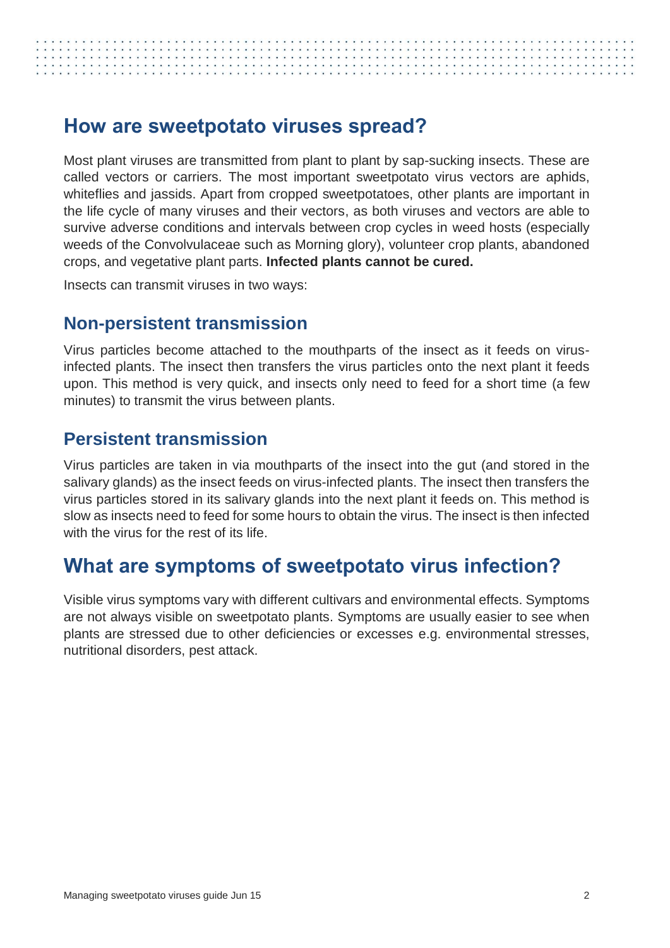# <span id="page-5-0"></span>**How are sweetpotato viruses spread?**

Most plant viruses are transmitted from plant to plant by sap-sucking insects. These are called vectors or carriers. The most important sweetpotato virus vectors are aphids, whiteflies and jassids. Apart from cropped sweetpotatoes, other plants are important in the life cycle of many viruses and their vectors, as both viruses and vectors are able to survive adverse conditions and intervals between crop cycles in weed hosts (especially weeds of the Convolvulaceae such as Morning glory), volunteer crop plants, abandoned crops, and vegetative plant parts. **Infected plants cannot be cured.**

Insects can transmit viruses in two ways:

### <span id="page-5-1"></span>**Non-persistent transmission**

Virus particles become attached to the mouthparts of the insect as it feeds on virusinfected plants. The insect then transfers the virus particles onto the next plant it feeds upon. This method is very quick, and insects only need to feed for a short time (a few minutes) to transmit the virus between plants.

### <span id="page-5-2"></span>**Persistent transmission**

Virus particles are taken in via mouthparts of the insect into the gut (and stored in the salivary glands) as the insect feeds on virus-infected plants. The insect then transfers the virus particles stored in its salivary glands into the next plant it feeds on. This method is slow as insects need to feed for some hours to obtain the virus. The insect is then infected with the virus for the rest of its life.

### <span id="page-5-3"></span>**What are symptoms of sweetpotato virus infection?**

Visible virus symptoms vary with different cultivars and environmental effects. Symptoms are not always visible on sweetpotato plants. Symptoms are usually easier to see when plants are stressed due to other deficiencies or excesses e.g. environmental stresses, nutritional disorders, pest attack.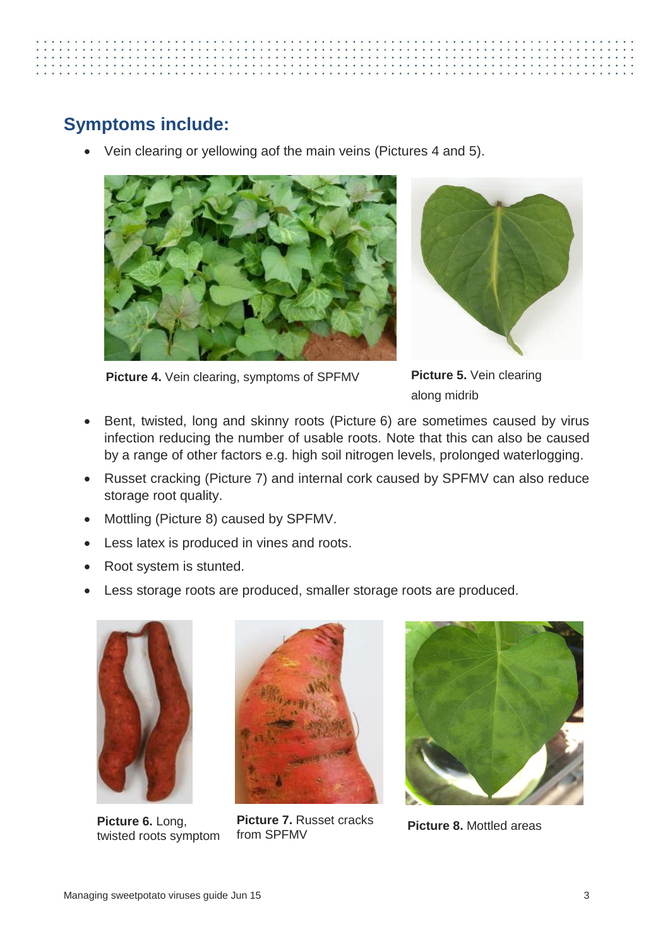

### <span id="page-6-0"></span>**Symptoms include:**

Vein clearing or yellowing aof the main veins (Pictures 4 and 5).





**Picture 4.** Vein clearing, symptoms of SPFMV

**Picture 5.** Vein clearing along midrib

- Bent, twisted, long and skinny roots (Picture 6) are sometimes caused by virus infection reducing the number of usable roots. Note that this can also be caused by a range of other factors e.g. high soil nitrogen levels, prolonged waterlogging.
- Russet cracking (Picture 7) and internal cork caused by SPFMV can also reduce storage root quality.
- Mottling (Picture 8) caused by SPFMV.
- Less latex is produced in vines and roots.
- Root system is stunted.
- Less storage roots are produced, smaller storage roots are produced.



**Picture 6.** Long, twisted roots symptom



**Picture 7.** Russet cracks from SPFMV



**Picture 8.** Mottled areas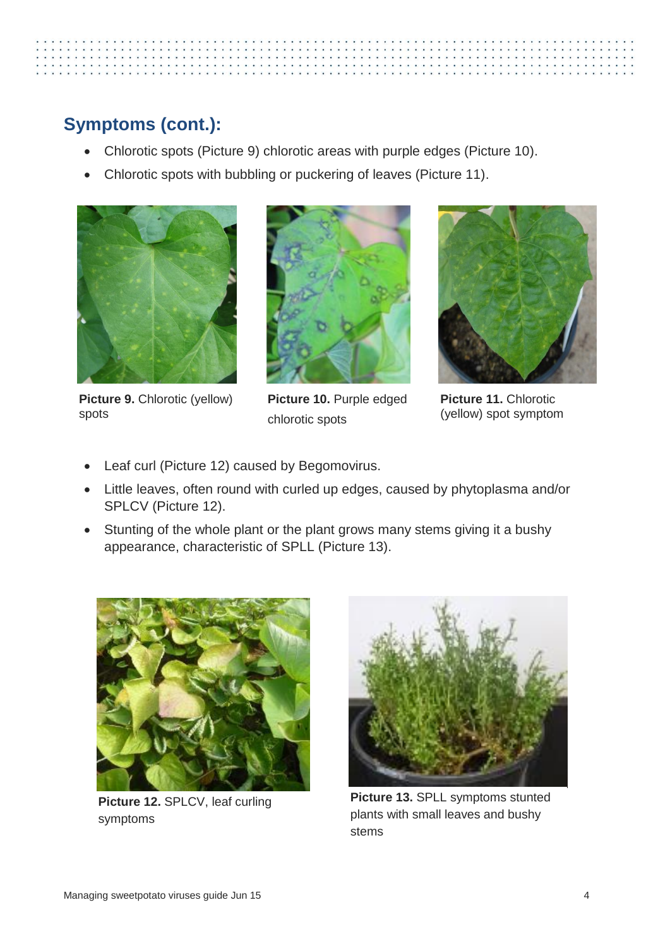# <span id="page-7-0"></span>**Symptoms (cont.):**

- Chlorotic spots (Picture 9) chlorotic areas with purple edges (Picture 10).
- Chlorotic spots with bubbling or puckering of leaves (Picture 11).



**Picture 9.** Chlorotic (yellow) spots



**Picture 10.** Purple edged chlorotic spots



**Picture 11.** Chlorotic (yellow) spot symptom

- Leaf curl (Picture 12) caused by Begomovirus.
- Little leaves, often round with curled up edges, caused by phytoplasma and/or SPLCV (Picture 12).
- Stunting of the whole plant or the plant grows many stems giving it a bushy appearance, characteristic of SPLL (Picture 13).

<span id="page-7-1"></span>

**Picture 12.** SPLCV, leaf curling symptoms



**Picture 13.** SPLL symptoms stunted plants with small leaves and bushy stems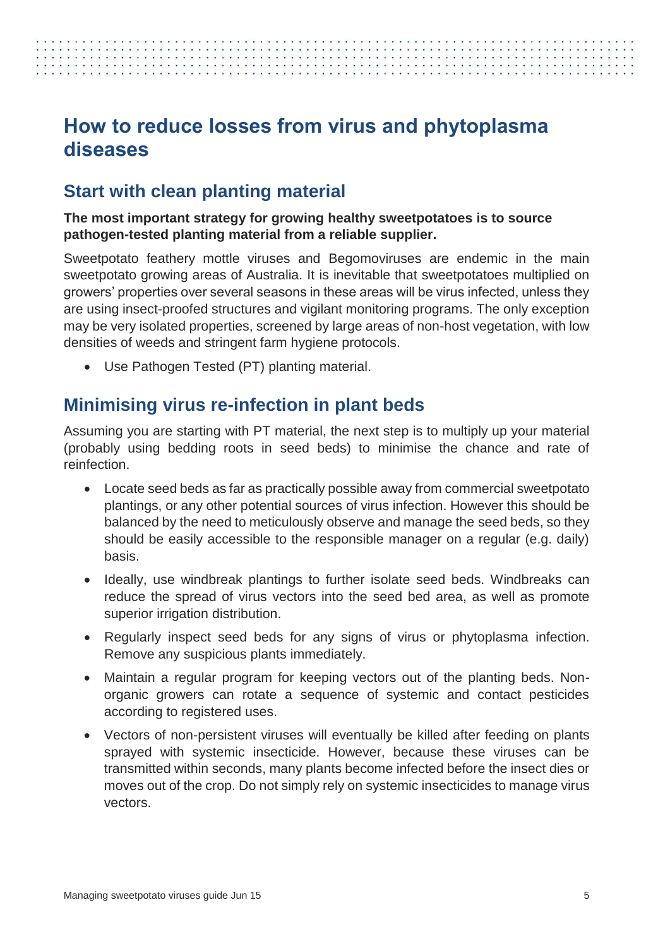## **How to reduce losses from virus and phytoplasma diseases**

### <span id="page-8-0"></span>**Start with clean planting material**

### **The most important strategy for growing healthy sweetpotatoes is to source pathogen-tested planting material from a reliable supplier.**

Sweetpotato feathery mottle viruses and Begomoviruses are endemic in the main sweetpotato growing areas of Australia. It is inevitable that sweetpotatoes multiplied on growers' properties over several seasons in these areas will be virus infected, unless they are using insect-proofed structures and vigilant monitoring programs. The only exception may be very isolated properties, screened by large areas of non-host vegetation, with low densities of weeds and stringent farm hygiene protocols.

Use Pathogen Tested (PT) planting material.

### <span id="page-8-1"></span>**Minimising virus re-infection in plant beds**

Assuming you are starting with PT material, the next step is to multiply up your material (probably using bedding roots in seed beds) to minimise the chance and rate of reinfection.

- Locate seed beds as far as practically possible away from commercial sweetpotato plantings, or any other potential sources of virus infection. However this should be balanced by the need to meticulously observe and manage the seed beds, so they should be easily accessible to the responsible manager on a regular (e.g. daily) basis.
- Ideally, use windbreak plantings to further isolate seed beds. Windbreaks can reduce the spread of virus vectors into the seed bed area, as well as promote superior irrigation distribution.
- Regularly inspect seed beds for any signs of virus or phytoplasma infection. Remove any suspicious plants immediately.
- Maintain a regular program for keeping vectors out of the planting beds. Nonorganic growers can rotate a sequence of systemic and contact pesticides according to registered uses.
- Vectors of non-persistent viruses will eventually be killed after feeding on plants sprayed with systemic insecticide. However, because these viruses can be transmitted within seconds, many plants become infected before the insect dies or moves out of the crop. Do not simply rely on systemic insecticides to manage virus vectors.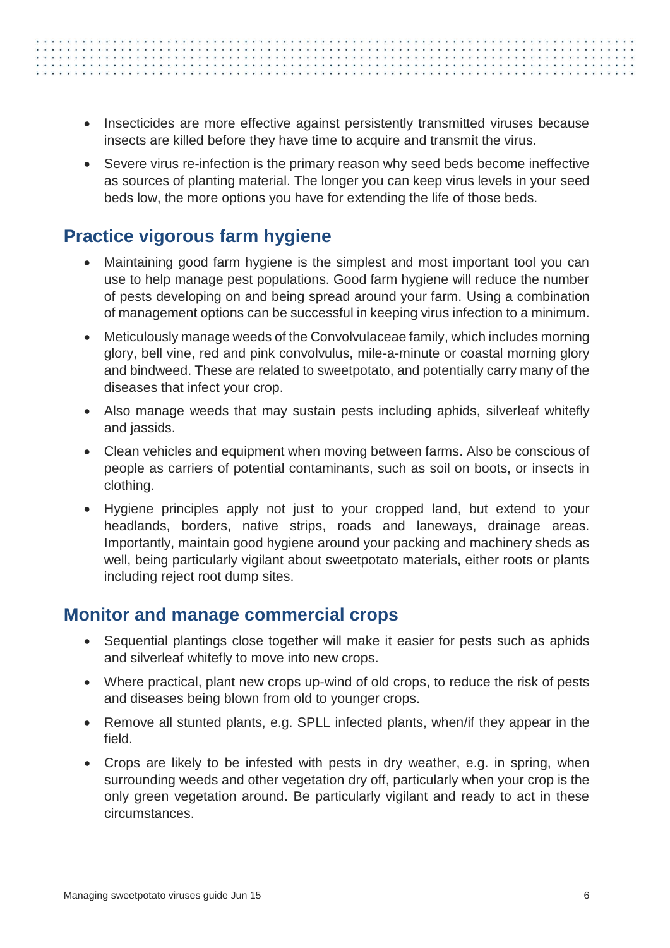- - Insecticides are more effective against persistently transmitted viruses because insects are killed before they have time to acquire and transmit the virus.
	- Severe virus re-infection is the primary reason why seed beds become ineffective as sources of planting material. The longer you can keep virus levels in your seed beds low, the more options you have for extending the life of those beds.

### <span id="page-9-0"></span>**Practice vigorous farm hygiene**

- Maintaining good farm hygiene is the simplest and most important tool you can use to help manage pest populations. Good farm hygiene will reduce the number of pests developing on and being spread around your farm. Using a combination of management options can be successful in keeping virus infection to a minimum.
- Meticulously manage weeds of the Convolvulaceae family, which includes morning glory, bell vine, red and pink convolvulus, mile-a-minute or coastal morning glory and bindweed. These are related to sweetpotato, and potentially carry many of the diseases that infect your crop.
- Also manage weeds that may sustain pests including aphids, silverleaf whitefly and jassids.
- Clean vehicles and equipment when moving between farms. Also be conscious of people as carriers of potential contaminants, such as soil on boots, or insects in clothing.
- Hygiene principles apply not just to your cropped land, but extend to your headlands, borders, native strips, roads and laneways, drainage areas. Importantly, maintain good hygiene around your packing and machinery sheds as well, being particularly vigilant about sweetpotato materials, either roots or plants including reject root dump sites.

### <span id="page-9-1"></span>**Monitor and manage commercial crops**

- Sequential plantings close together will make it easier for pests such as aphids and silverleaf whitefly to move into new crops.
- Where practical, plant new crops up-wind of old crops, to reduce the risk of pests and diseases being blown from old to younger crops.
- Remove all stunted plants, e.g. SPLL infected plants, when/if they appear in the field.
- Crops are likely to be infested with pests in dry weather, e.g. in spring, when surrounding weeds and other vegetation dry off, particularly when your crop is the only green vegetation around. Be particularly vigilant and ready to act in these circumstances.